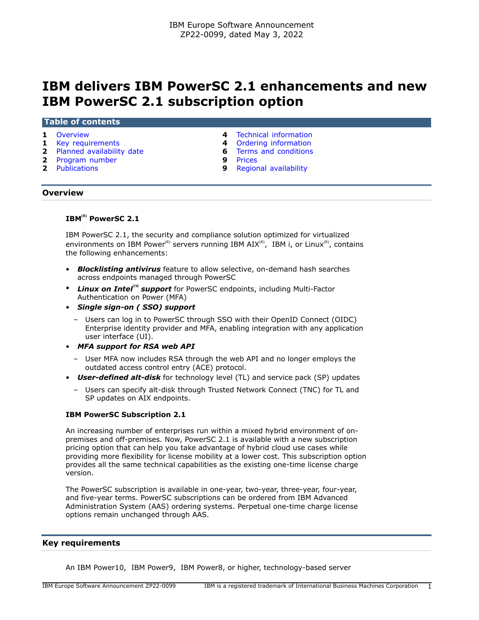# **IBM delivers IBM PowerSC 2.1 enhancements and new IBM PowerSC 2.1 subscription option**

#### **Table of contents**

- 
- 
- **2** [Planned availability date](#page-1-0) **6** [Terms and conditions](#page-5-0)
- **2** [Program number](#page-1-1) **9** [Prices](#page-8-0)<br>**2** Publications **9** Region
- 
- **1** [Overview](#page-0-0) **4** [Technical information](#page-3-0)
- **1** [Key requirements](#page-0-1) **4** [Ordering information](#page-3-1)
	-
	-
	- **9** [Regional availability](#page-8-1)

## <span id="page-0-0"></span>**Overview**

# **IBM(R) PowerSC 2.1**

IBM PowerSC 2.1, the security and compliance solution optimized for virtualized environments on IBM Power<sup>(R)</sup> servers running IBM AIX<sup>(R)</sup>, IBM i, or Linux<sup>(R)</sup>, contains the following enhancements:

- *Blocklisting antivirus* feature to allow selective, on-demand hash searches across endpoints managed through PowerSC
- *Linux on IntelTM support* for PowerSC endpoints, including Multi-Factor Authentication on Power (MFA)
- *Single sign-on ( SSO) support*
	- Users can log in to PowerSC through SSO with their OpenID Connect (OIDC) Enterprise identity provider and MFA, enabling integration with any application user interface (UI).
- *MFA support for RSA web API*
	- User MFA now includes RSA through the web API and no longer employs the outdated access control entry (ACE) protocol.
- *User-defined alt-disk* for technology level (TL) and service pack (SP) updates
	- Users can specify alt-disk through Trusted Network Connect (TNC) for TL and SP updates on AIX endpoints.

## **IBM PowerSC Subscription 2.1**

An increasing number of enterprises run within a mixed hybrid environment of onpremises and off-premises. Now, PowerSC 2.1 is available with a new subscription pricing option that can help you take advantage of hybrid cloud use cases while providing more flexibility for license mobility at a lower cost. This subscription option provides all the same technical capabilities as the existing one-time license charge version.

The PowerSC subscription is available in one-year, two-year, three-year, four-year, and five-year terms. PowerSC subscriptions can be ordered from IBM Advanced Administration System (AAS) ordering systems. Perpetual one-time charge license options remain unchanged through AAS.

## <span id="page-0-1"></span>**Key requirements**

An IBM Power10, IBM Power9, IBM Power8, or higher, technology-based server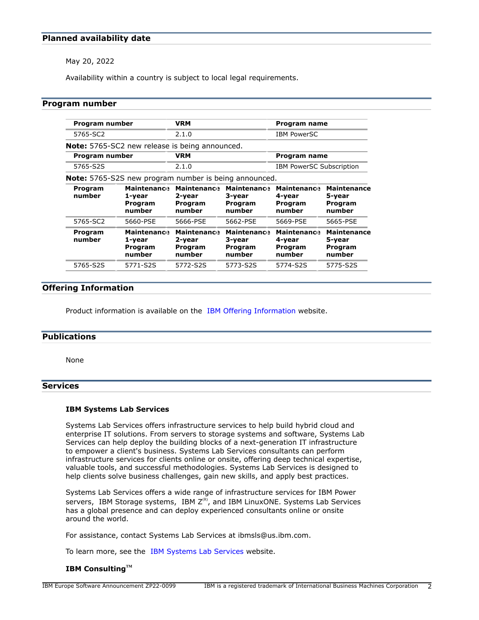# <span id="page-1-0"></span>**Planned availability date**

May 20, 2022

Availability within a country is subject to local legal requirements.

## <span id="page-1-1"></span>**Program number**

| Program number    |                                                              | <b>VRM</b>                                        |                                                   | Program name                                      |                                                   |
|-------------------|--------------------------------------------------------------|---------------------------------------------------|---------------------------------------------------|---------------------------------------------------|---------------------------------------------------|
| 5765-SC2          |                                                              | 2.1.0                                             |                                                   | <b>IBM PowerSC</b>                                |                                                   |
|                   | <b>Note:</b> 5765-SC2 new release is being announced.        |                                                   |                                                   |                                                   |                                                   |
| Program number    |                                                              | <b>VRM</b>                                        |                                                   | Program name                                      |                                                   |
| 5765-S2S          |                                                              | 2.1.0                                             |                                                   | <b>IBM PowerSC Subscription</b>                   |                                                   |
|                   | <b>Note:</b> 5765-S2S new program number is being announced. |                                                   |                                                   |                                                   |                                                   |
| Program<br>number | <b>Maintenance</b><br>1-year<br>Program<br>number            | <b>Maintenance</b><br>2-year<br>Program<br>number | <b>Maintenance</b><br>3-year<br>Program<br>number | <b>Maintenance</b><br>4-year<br>Program<br>number | <b>Maintenance</b><br>5-year<br>Program<br>number |
| 5765-SC2          | 5660-PSE                                                     | 5666-PSE                                          | 5662-PSE                                          | 5669-PSE                                          | 5665-PSE                                          |
| Program<br>number | <b>Maintenance</b><br>1-year<br>Program<br>number            | <b>Maintenance</b><br>2-year<br>Program<br>number | <b>Maintenance</b><br>3-year<br>Program<br>number | <b>Maintenance</b><br>4-year<br>Program<br>number | <b>Maintenance</b><br>5-year<br>Program<br>number |
| 5765-S2S          | 5771-S2S                                                     | 5772-S2S                                          | 5773-S2S                                          | 5774-S2S                                          | 5775-S2S                                          |

# **Offering Information**

Product information is available on the [IBM Offering Information](http://www.ibm.com/common/ssi) website.

## <span id="page-1-2"></span>**Publications**

None

# **Services**

#### **IBM Systems Lab Services**

Systems Lab Services offers infrastructure services to help build hybrid cloud and enterprise IT solutions. From servers to storage systems and software, Systems Lab Services can help deploy the building blocks of a next-generation IT infrastructure to empower a client's business. Systems Lab Services consultants can perform infrastructure services for clients online or onsite, offering deep technical expertise, valuable tools, and successful methodologies. Systems Lab Services is designed to help clients solve business challenges, gain new skills, and apply best practices.

Systems Lab Services offers a wide range of infrastructure services for IBM Power servers, IBM Storage systems, IBM  $Z^{(R)}$ , and IBM LinuxONE. Systems Lab Services has a global presence and can deploy experienced consultants online or onsite around the world.

For assistance, contact Systems Lab Services at ibmsls@us.ibm.com.

To learn more, see the [IBM Systems Lab Services](https://www.ibm.com/it-infrastructure/services/lab-services) website.

## **IBM ConsultingTM**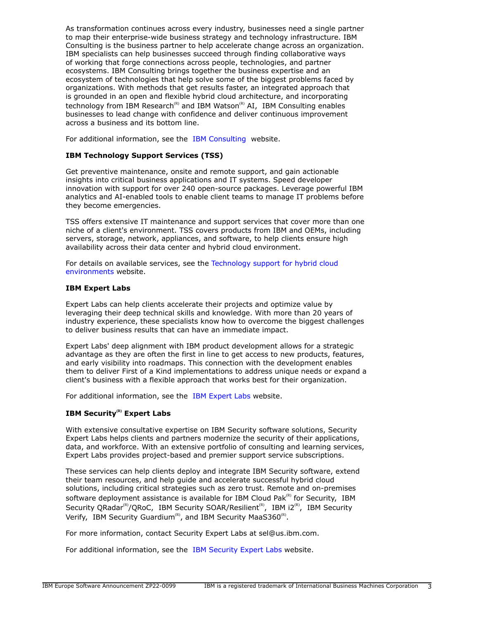As transformation continues across every industry, businesses need a single partner to map their enterprise-wide business strategy and technology infrastructure. IBM Consulting is the business partner to help accelerate change across an organization. IBM specialists can help businesses succeed through finding collaborative ways of working that forge connections across people, technologies, and partner ecosystems. IBM Consulting brings together the business expertise and an ecosystem of technologies that help solve some of the biggest problems faced by organizations. With methods that get results faster, an integrated approach that is grounded in an open and flexible hybrid cloud architecture, and incorporating technology from IBM Research<sup>(R)</sup> and IBM Watson<sup>(R)</sup> AI, IBM Consulting enables businesses to lead change with confidence and deliver continuous improvement across a business and its bottom line.

For additional information, see the [IBM Consulting](https://www.ibm.com/consulting) website.

# **IBM Technology Support Services (TSS)**

Get preventive maintenance, onsite and remote support, and gain actionable insights into critical business applications and IT systems. Speed developer innovation with support for over 240 open-source packages. Leverage powerful IBM analytics and AI-enabled tools to enable client teams to manage IT problems before they become emergencies.

TSS offers extensive IT maintenance and support services that cover more than one niche of a client's environment. TSS covers products from IBM and OEMs, including servers, storage, network, appliances, and software, to help clients ensure high availability across their data center and hybrid cloud environment.

For details on available services, see the [Technology support for hybrid cloud](https://www.ibm.com/services/technology-support) [environments](https://www.ibm.com/services/technology-support) website.

## **IBM Expert Labs**

Expert Labs can help clients accelerate their projects and optimize value by leveraging their deep technical skills and knowledge. With more than 20 years of industry experience, these specialists know how to overcome the biggest challenges to deliver business results that can have an immediate impact.

Expert Labs' deep alignment with IBM product development allows for a strategic advantage as they are often the first in line to get access to new products, features, and early visibility into roadmaps. This connection with the development enables them to deliver First of a Kind implementations to address unique needs or expand a client's business with a flexible approach that works best for their organization.

For additional information, see the [IBM Expert Labs](https://www.ibm.com/products/expertlabs) website.

# **IBM Security(R) Expert Labs**

With extensive consultative expertise on IBM Security software solutions, Security Expert Labs helps clients and partners modernize the security of their applications, data, and workforce. With an extensive portfolio of consulting and learning services, Expert Labs provides project-based and premier support service subscriptions.

These services can help clients deploy and integrate IBM Security software, extend their team resources, and help guide and accelerate successful hybrid cloud solutions, including critical strategies such as zero trust. Remote and on-premises software deployment assistance is available for IBM Cloud Pak $R<sup>(R)</sup>$  for Security, IBM Security QRadar<sup>(R)</sup>/QRoC, IBM Security SOAR/Resilient<sup>(R)</sup>, IBM i2<sup>(R)</sup>, IBM Security Verify, IBM Security Guardium<sup>(R)</sup>, and IBM Security MaaS360<sup>(R)</sup>.

For more information, contact Security Expert Labs at sel@us.ibm.com.

For additional information, see the [IBM Security Expert Labs](https://www.ibm.com/security/security-expert-labs) website.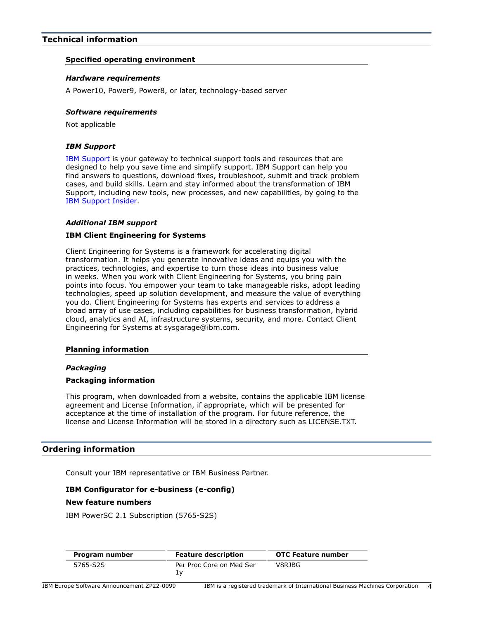# <span id="page-3-0"></span>**Technical information**

## **Specified operating environment**

## *Hardware requirements*

A Power10, Power9, Power8, or later, technology-based server

## *Software requirements*

Not applicable

## *IBM Support*

[IBM Support](https://www.ibm.com/support) is your gateway to technical support tools and resources that are designed to help you save time and simplify support. IBM Support can help you find answers to questions, download fixes, troubleshoot, submit and track problem cases, and build skills. Learn and stay informed about the transformation of IBM Support, including new tools, new processes, and new capabilities, by going to the [IBM Support Insider](https://www.ibm.com/support/insider).

## *Additional IBM support*

## **IBM Client Engineering for Systems**

Client Engineering for Systems is a framework for accelerating digital transformation. It helps you generate innovative ideas and equips you with the practices, technologies, and expertise to turn those ideas into business value in weeks. When you work with Client Engineering for Systems, you bring pain points into focus. You empower your team to take manageable risks, adopt leading technologies, speed up solution development, and measure the value of everything you do. Client Engineering for Systems has experts and services to address a broad array of use cases, including capabilities for business transformation, hybrid cloud, analytics and AI, infrastructure systems, security, and more. Contact Client Engineering for Systems at sysgarage@ibm.com.

## **Planning information**

# *Packaging*

## **Packaging information**

This program, when downloaded from a website, contains the applicable IBM license agreement and License Information, if appropriate, which will be presented for acceptance at the time of installation of the program. For future reference, the license and License Information will be stored in a directory such as LICENSE.TXT.

# <span id="page-3-1"></span>**Ordering information**

Consult your IBM representative or IBM Business Partner.

# **IBM Configurator for e-business (e-config)**

## **New feature numbers**

IBM PowerSC 2.1 Subscription (5765-S2S)

| Program number | <b>Feature description</b> | <b>OTC Feature number</b> |
|----------------|----------------------------|---------------------------|
| 5765-S2S       | Per Proc Core on Med Ser   | V8RJBG                    |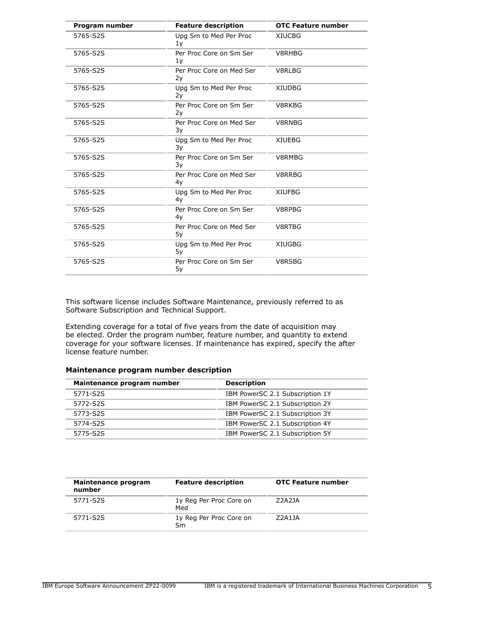| Program number | <b>Feature description</b>     | <b>OTC Feature number</b> |
|----------------|--------------------------------|---------------------------|
| 5765-S2S       | Upg Sm to Med Per Proc<br>1y   | <b>XIUCBG</b>             |
| 5765-S2S       | Per Proc Core on Sm Ser<br>1y  | V8RHBG                    |
| 5765-S2S       | Per Proc Core on Med Ser<br>2y | V8RLBG                    |
| 5765-S2S       | Upg Sm to Med Per Proc<br>2y   | <b>XIUDBG</b>             |
| 5765-S2S       | Per Proc Core on Sm Ser<br>2y  | V8RKBG                    |
| 5765-S2S       | Per Proc Core on Med Ser<br>3y | V8RNBG                    |
| 5765-S2S       | Upg Sm to Med Per Proc<br>3y   | <b>XIUEBG</b>             |
| 5765-S2S       | Per Proc Core on Sm Ser<br>3y  | V8RMBG                    |
| 5765-S2S       | Per Proc Core on Med Ser<br>4y | V8RRBG                    |
| 5765-S2S       | Upg Sm to Med Per Proc<br>4y   | <b>XIUFBG</b>             |
| 5765-S2S       | Per Proc Core on Sm Ser<br>4y  | V8RPBG                    |
| 5765-S2S       | Per Proc Core on Med Ser<br>5у | V8RTBG                    |
| 5765-S2S       | Upg Sm to Med Per Proc<br>5y   | <b>XIUGBG</b>             |
| 5765-S2S       | Per Proc Core on Sm Ser<br>5y  | V8RSBG                    |

This software license includes Software Maintenance, previously referred to as Software Subscription and Technical Support.

Extending coverage for a total of five years from the date of acquisition may be elected. Order the program number, feature number, and quantity to extend coverage for your software licenses. If maintenance has expired, specify the after license feature number.

# **Maintenance program number description**

| Maintenance program number | <b>Description</b>              |  |
|----------------------------|---------------------------------|--|
| 5771-S2S                   | IBM PowerSC 2.1 Subscription 1Y |  |
| 5772-S2S                   | IBM PowerSC 2.1 Subscription 2Y |  |
| 5773-S2S                   | IBM PowerSC 2.1 Subscription 3Y |  |
| 5774-S2S                   | IBM PowerSC 2.1 Subscription 4Y |  |
| 5775-S2S                   | IBM PowerSC 2.1 Subscription 5Y |  |

| Maintenance program<br>number | <b>Feature description</b>     | <b>OTC Feature number</b> |
|-------------------------------|--------------------------------|---------------------------|
| 5771-S2S                      | 1y Reg Per Proc Core on<br>Med | Z2A2JA                    |
| 5771-S2S                      | 1y Reg Per Proc Core on<br>Sm  | 72A11A                    |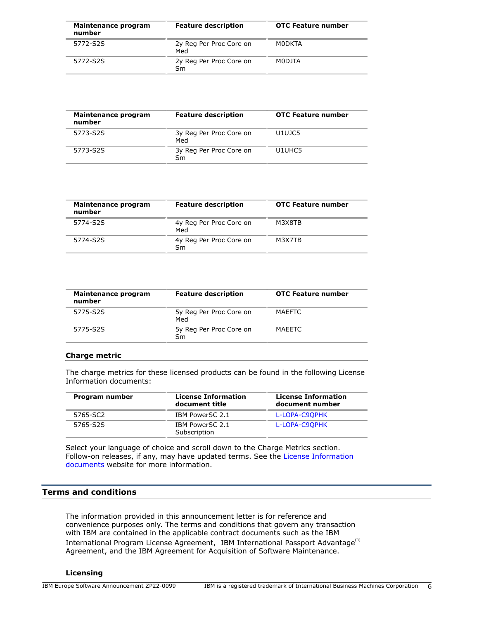| Maintenance program<br>number | <b>Feature description</b>     | <b>OTC Feature number</b> |
|-------------------------------|--------------------------------|---------------------------|
| 5772-S2S                      | 2y Reg Per Proc Core on<br>Med | M0DKTA                    |
| 5772-S2S                      | 2y Reg Per Proc Core on<br>Sm  | M0DJTA                    |

| Maintenance program<br>number | <b>Feature description</b>     | <b>OTC Feature number</b> |
|-------------------------------|--------------------------------|---------------------------|
| 5773-S2S                      | 3y Reg Per Proc Core on<br>Med | U1UJC5                    |
| 5773-S2S                      | 3y Reg Per Proc Core on<br>Sm  | U1UHC5                    |

| Maintenance program<br>number | <b>Feature description</b>     | <b>OTC Feature number</b> |
|-------------------------------|--------------------------------|---------------------------|
| 5774-S2S                      | 4y Reg Per Proc Core on<br>Med | M3X8TB                    |
| 5774-S2S                      | 4y Reg Per Proc Core on<br>Sm  | M3X7TB                    |

| Maintenance program<br>number | <b>Feature description</b>     | <b>OTC Feature number</b> |
|-------------------------------|--------------------------------|---------------------------|
| 5775-S2S                      | 5y Reg Per Proc Core on<br>Med | <b>MAEFTC</b>             |
| 5775-S2S                      | 5y Reg Per Proc Core on<br>Sm  | MAEETC                    |
|                               |                                |                           |

# **Charge metric**

The charge metrics for these licensed products can be found in the following License Information documents:

| Program number | <b>License Information</b><br>document title | <b>License Information</b><br>document number |
|----------------|----------------------------------------------|-----------------------------------------------|
| 5765-SC2       | IBM PowerSC 2.1                              | L-LOPA-C9OPHK                                 |
| 5765-S2S       | IBM PowerSC 2.1<br>Subscription              | L-LOPA-C9OPHK                                 |

Select your language of choice and scroll down to the Charge Metrics section. Follow-on releases, if any, may have updated terms. See the [License Information](https://www.ibm.com/software/sla/sladb.nsf/search?OpenForm) [documents](https://www.ibm.com/software/sla/sladb.nsf/search?OpenForm) website for more information.

# <span id="page-5-0"></span>**Terms and conditions**

The information provided in this announcement letter is for reference and convenience purposes only. The terms and conditions that govern any transaction with IBM are contained in the applicable contract documents such as the IBM International Program License Agreement, IBM International Passport Advantage<sup>(R)</sup> Agreement, and the IBM Agreement for Acquisition of Software Maintenance.

## **Licensing**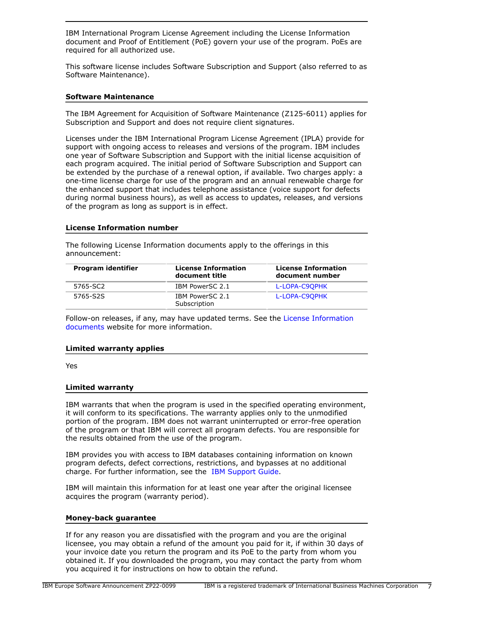IBM International Program License Agreement including the License Information document and Proof of Entitlement (PoE) govern your use of the program. PoEs are required for all authorized use.

This software license includes Software Subscription and Support (also referred to as Software Maintenance).

## **Software Maintenance**

The IBM Agreement for Acquisition of Software Maintenance (Z125-6011) applies for Subscription and Support and does not require client signatures.

Licenses under the IBM International Program License Agreement (IPLA) provide for support with ongoing access to releases and versions of the program. IBM includes one year of Software Subscription and Support with the initial license acquisition of each program acquired. The initial period of Software Subscription and Support can be extended by the purchase of a renewal option, if available. Two charges apply: a one-time license charge for use of the program and an annual renewable charge for the enhanced support that includes telephone assistance (voice support for defects during normal business hours), as well as access to updates, releases, and versions of the program as long as support is in effect.

## **License Information number**

The following License Information documents apply to the offerings in this announcement:

| Program identifier | <b>License Information</b><br>document title | License Information<br>document number |
|--------------------|----------------------------------------------|----------------------------------------|
| 5765-SC2           | IBM PowerSC 2.1                              | L-LOPA-C9OPHK                          |
| 5765-S2S           | IBM PowerSC 2.1<br>Subscription              | L-LOPA-C9OPHK                          |

Follow-on releases, if any, may have updated terms. See the [License Information](https://www.ibm.com/software/sla/sladb.nsf/search?OpenForm) [documents](https://www.ibm.com/software/sla/sladb.nsf/search?OpenForm) website for more information.

## **Limited warranty applies**

Yes

## **Limited warranty**

IBM warrants that when the program is used in the specified operating environment, it will conform to its specifications. The warranty applies only to the unmodified portion of the program. IBM does not warrant uninterrupted or error-free operation of the program or that IBM will correct all program defects. You are responsible for the results obtained from the use of the program.

IBM provides you with access to IBM databases containing information on known program defects, defect corrections, restrictions, and bypasses at no additional charge. For further information, see the [IBM Support Guide](http://www.ibm.com/support/customercare/sas/f/handbook/home.html).

IBM will maintain this information for at least one year after the original licensee acquires the program (warranty period).

## **Money-back guarantee**

If for any reason you are dissatisfied with the program and you are the original licensee, you may obtain a refund of the amount you paid for it, if within 30 days of your invoice date you return the program and its PoE to the party from whom you obtained it. If you downloaded the program, you may contact the party from whom you acquired it for instructions on how to obtain the refund.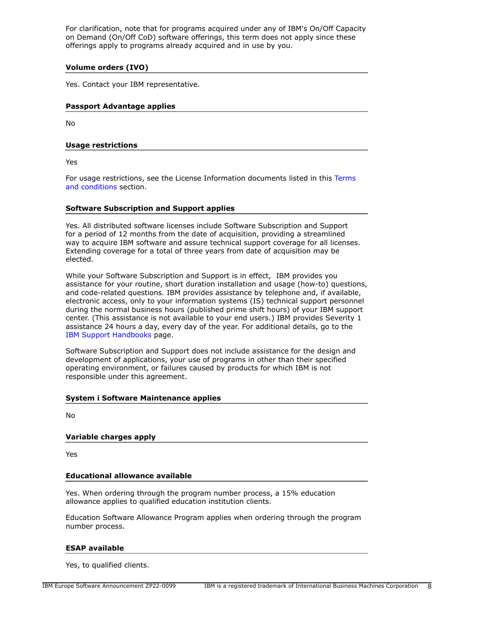For clarification, note that for programs acquired under any of IBM's On/Off Capacity on Demand (On/Off CoD) software offerings, this term does not apply since these offerings apply to programs already acquired and in use by you.

# **Volume orders (IVO)**

Yes. Contact your IBM representative.

# **Passport Advantage applies**

No

# **Usage restrictions**

Yes

For usage restrictions, see the License Information documents listed in this [Terms](#page-5-0) [and conditions](#page-5-0) section.

# **Software Subscription and Support applies**

Yes. All distributed software licenses include Software Subscription and Support for a period of 12 months from the date of acquisition, providing a streamlined way to acquire IBM software and assure technical support coverage for all licenses. Extending coverage for a total of three years from date of acquisition may be elected.

While your Software Subscription and Support is in effect, IBM provides you assistance for your routine, short duration installation and usage (how-to) questions, and code-related questions. IBM provides assistance by telephone and, if available, electronic access, only to your information systems (IS) technical support personnel during the normal business hours (published prime shift hours) of your IBM support center. (This assistance is not available to your end users.) IBM provides Severity 1 assistance 24 hours a day, every day of the year. For additional details, go to the [IBM Support Handbooks](http://www.ibm.com/support/handbook) page.

Software Subscription and Support does not include assistance for the design and development of applications, your use of programs in other than their specified operating environment, or failures caused by products for which IBM is not responsible under this agreement.

# **System i Software Maintenance applies**

No

# **Variable charges apply**

Yes

# **Educational allowance available**

Yes. When ordering through the program number process, a 15% education allowance applies to qualified education institution clients.

Education Software Allowance Program applies when ordering through the program number process.

## **ESAP available**

Yes, to qualified clients.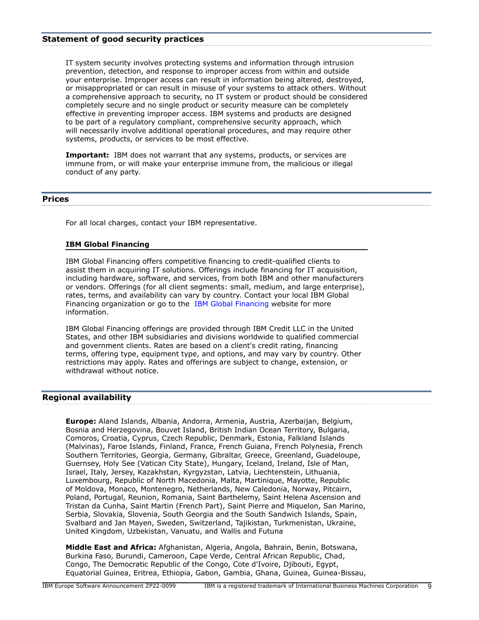## **Statement of good security practices**

IT system security involves protecting systems and information through intrusion prevention, detection, and response to improper access from within and outside your enterprise. Improper access can result in information being altered, destroyed, or misappropriated or can result in misuse of your systems to attack others. Without a comprehensive approach to security, no IT system or product should be considered completely secure and no single product or security measure can be completely effective in preventing improper access. IBM systems and products are designed to be part of a regulatory compliant, comprehensive security approach, which will necessarily involve additional operational procedures, and may require other systems, products, or services to be most effective.

**Important:** IBM does not warrant that any systems, products, or services are immune from, or will make your enterprise immune from, the malicious or illegal conduct of any party.

## <span id="page-8-0"></span>**Prices**

For all local charges, contact your IBM representative.

## **IBM Global Financing**

IBM Global Financing offers competitive financing to credit-qualified clients to assist them in acquiring IT solutions. Offerings include financing for IT acquisition, including hardware, software, and services, from both IBM and other manufacturers or vendors. Offerings (for all client segments: small, medium, and large enterprise), rates, terms, and availability can vary by country. Contact your local IBM Global Financing organization or go to the [IBM Global Financing](http://www.ibm.com/financing) website for more information.

IBM Global Financing offerings are provided through IBM Credit LLC in the United States, and other IBM subsidiaries and divisions worldwide to qualified commercial and government clients. Rates are based on a client's credit rating, financing terms, offering type, equipment type, and options, and may vary by country. Other restrictions may apply. Rates and offerings are subject to change, extension, or withdrawal without notice.

# <span id="page-8-1"></span>**Regional availability**

**Europe:** Aland Islands, Albania, Andorra, Armenia, Austria, Azerbaijan, Belgium, Bosnia and Herzegovina, Bouvet Island, British Indian Ocean Territory, Bulgaria, Comoros, Croatia, Cyprus, Czech Republic, Denmark, Estonia, Falkland Islands (Malvinas), Faroe Islands, Finland, France, French Guiana, French Polynesia, French Southern Territories, Georgia, Germany, Gibraltar, Greece, Greenland, Guadeloupe, Guernsey, Holy See (Vatican City State), Hungary, Iceland, Ireland, Isle of Man, Israel, Italy, Jersey, Kazakhstan, Kyrgyzstan, Latvia, Liechtenstein, Lithuania, Luxembourg, Republic of North Macedonia, Malta, Martinique, Mayotte, Republic of Moldova, Monaco, Montenegro, Netherlands, New Caledonia, Norway, Pitcairn, Poland, Portugal, Reunion, Romania, Saint Barthelemy, Saint Helena Ascension and Tristan da Cunha, Saint Martin (French Part), Saint Pierre and Miquelon, San Marino, Serbia, Slovakia, Slovenia, South Georgia and the South Sandwich Islands, Spain, Svalbard and Jan Mayen, Sweden, Switzerland, Tajikistan, Turkmenistan, Ukraine, United Kingdom, Uzbekistan, Vanuatu, and Wallis and Futuna

**Middle East and Africa:** Afghanistan, Algeria, Angola, Bahrain, Benin, Botswana, Burkina Faso, Burundi, Cameroon, Cape Verde, Central African Republic, Chad, Congo, The Democratic Republic of the Congo, Cote d'Ivoire, Djibouti, Egypt, Equatorial Guinea, Eritrea, Ethiopia, Gabon, Gambia, Ghana, Guinea, Guinea-Bissau,